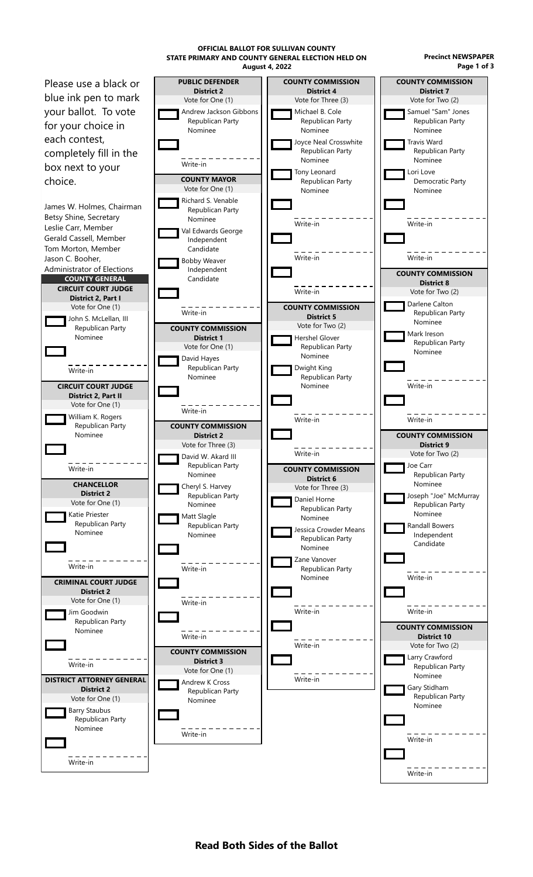**August 4, 2022 Page 1 of 3** Please use a black or blue ink pen to mark your ballot. To vote for your choice in each contest, completely fill in the box next to your choice. James W. Holmes, Chairman Betsy Shine, Secretary Leslie Carr, Member Gerald Cassell, Member Tom Morton, Member Jason C. Booher, Administrator of Elections **COUNTY GENERAL CIRCUIT COURT JUDGE District 2, Part I** Vote for One (1) John S. McLellan, III Republican Party Nominee Write-in **CIRCUIT COURT JUDGE District 2, Part II** Vote for One (1) William K. Rogers Republican Party Nominee Write-in **CHANCELLOR District 2** Vote for One (1) Katie Priester Republican Party Nominee Write-in **CRIMINAL COURT JUDGE District 2** Vote for One (1) Jim Goodwin Republican Party Nominee Write-in **DISTRICT ATTORNEY GENERAL District 2** Vote for One (1) Barry Staubus Republican Party Nominee Write-in **PUBLIC DEFENDER District 2** Vote for One (1) Andrew Jackson Gibbons Republican Party Nominee Write-in **COUNTY MAYOR** Vote for One (1) Richard S. Venable Republican Party Nominee Val Edwards George Independent Candidate Bobby Weaver Independent Candidate Write-in **COUNTY COMMISSION District 1** Vote for One (1) David Hayes Republican Party Nominee Write-in **COUNTY COMMISSION District 2** Vote for Three (3) David W. Akard III Republican Party Nominee Cheryl S. Harvey Republican Party Nominee Matt Slagle Republican Party Nominee Write-in Write-in Write-in **COUNTY COMMISSION District 3** Vote for One (1) Andrew K Cross Republican Party Nominee Write-in **COUNTY COMMISSION District 4** Vote for Three (3) Michael B. Cole Republican Party Nominee Joyce Neal Crosswhite Republican Party Nominee Tony Leonard Republican Party Nominee Write-in Write-in Write-in **COUNTY COMMISSION District 5** Vote for Two (2) Hershel Glover Republican Party Nominee Dwight King Republican Party Nominee Write-in Write-in **COUNTY COMMISSION District 6** Vote for Three (3) Daniel Horne Republican Party Nominee Jessica Crowder Means Republican Party Nominee Zane Vanover Republican Party Nominee Write-in Write-in Write-in **COUNTY COMMISSION District 7** Vote for Two (2) Samuel "Sam" Jones Republican Party Nominee Travis Ward Republican Party Nominee Lori Love Democratic Party Nominee Write-in Write-in **COUNTY COMMISSION District 8** Vote for Two (2) Darlene Calton Republican Party Nominee Mark Ireson Republican Party Nominee Write-in Write-in **COUNTY COMMISSION District 9** Vote for Two (2) Joe Carr Republican Party Nominee Joseph "Joe" McMurray Republican Party Nominee Randall Bowers Independent Candidate Write-in Write-in **COUNTY COMMISSION District 10** Vote for Two (2) Larry Crawford Republican Party Nominee Gary Stidham Republican Party Nominee Write-in

**OFFICIAL BALLOT FOR SULLIVAN COUNTY**

**STATE PRIMARY AND COUNTY GENERAL ELECTION HELD ON Precinct NEWSPAPER**

Write-in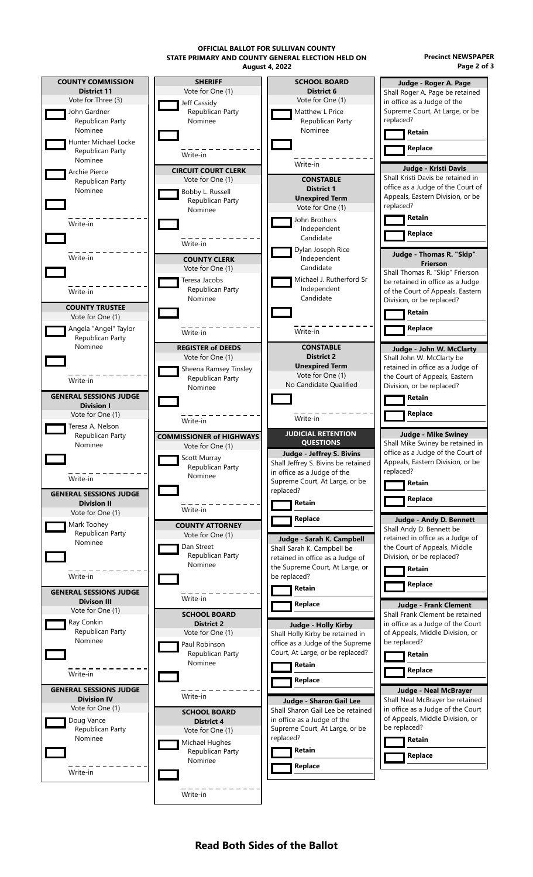**August 4, 2022 OFFICIAL BALLOT FOR SULLIVAN COUNTY STATE PRIMARY AND COUNTY GENERAL ELECTION HELD ON Precinct NEWSPAPER**

**Page 2 of 3**